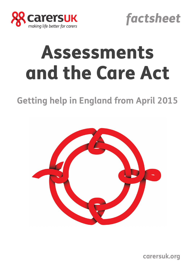



# Assessments and the Care Act

# **Getting help in England from April 2015**



**carersuk.org**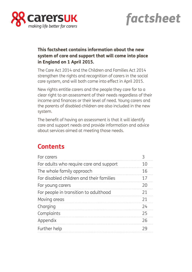



### **This factsheet contains information about the new system of care and support that will come into place in England on 1 April 2015.**

The Care Act 2014 and the Children and Families Act 2014 strengthen the rights and recognition of carers in the social care system, and will both come into effect in April 2015.

New rights entitle carers and the people they care for to a clear right to an assessment of their needs regardless of their income and finances or their level of need. Young carers and the parents of disabled children are also included in the new system.

The benefit of having an assessment is that it will identify care and support needs and provide information and advice about services aimed at meeting those needs.

### **Contents**

| For carers                               |    |
|------------------------------------------|----|
| For adults who require care and support  | 10 |
| The whole family approach                | 16 |
| For disabled children and their families | 17 |
| For young carers                         | 20 |
| For people in transition to adulthood    | 21 |
| Moving areas                             | 21 |
| Charging                                 | 74 |
| Complaints                               | 25 |
| Appendix                                 | 26 |
| Further help                             | 29 |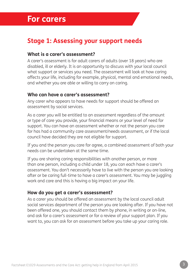# **For carers**

### **Stage 1: Assessing your support needs**

### **What is a carer's assessment?**

A carer's assessment is for adult carers of adults (over 18 years) who are disabled, ill or elderly. It is an opportunity to discuss with your local council what support or services you need. The assessment will look at how caring affects your life, including for example, physical, mental and emotional needs, and whether you are able or willing to carry on caring.

### **Who can have a carer's assessment?**

Any carer who appears to have needs for support should be offered an assessment by social services.

As a carer you will be entitled to an assessment regardless of the amount or type of care you provide, your financial means or your level of need for support. You can have an assessment whether or not the person you care for has had a community care assessment/needs assessment, or if the local council have decided they are not eligible for support.

If you and the person you care for agree, a combined assessment of both your needs can be undertaken at the same time.

If you are sharing caring responsibilities with another person, or more than one person, including a child under 18, you can each have a carer's assessment. You don't necessarily have to live with the person you are looking after or be caring full-time to have a carer's assessment. You may be juggling work and care and this is having a big impact on your life.

### **How do you get a carer's assessment?**

As a carer you should be offered an assessment by the local council adult social services department of the person you are looking after. If you have not been offered one, you should contact them by phone, in writing or on-line, and ask for a carer's assessment or for a review of your support plan. If you want to, you can ask for an assessment before you take up your caring role.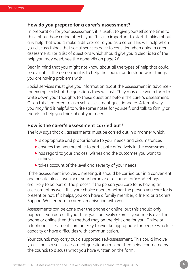### **How do you prepare for a carer's assessment?**

In preparation for your assessment, it is useful to give yourself some time to think about how caring affects you. It's also important to start thinking about any help that would make a difference to you as a carer. This will help when you discuss things that social services have to consider when doing a carer's assessment. For a list of questions which should give you a clear idea of the help you may need, see the appendix on page 26.

Bear in mind that you might not know about all the types of help that could be available, the assessment is to help the council understand what things you are having problems with.

Social services must give you information about the assessment in advance – for example a list of the questions they will ask. They may give you a form to write down your thoughts to these questions before the carer's assessment. Often this is referred to as a self-assessment questionnaire. Alternatively you may find it helpful to write some notes for yourself, and talk to family or friends to help you think about your needs.

### **How is the carer's assessment carried out?**

The law says that all assessments must be carried out in a manner which:

- > is appropriate and proportionate to your needs and circumstances
- > ensures that you are able to participate effectively in the assessment
- > has regard to your choices, wishes and the outcomes you want to achieve
- > takes account of the level and severity of your needs

If the assessment involves a meeting, it should be carried out in a convenient and private place, usually at your home or at a council office. Meetings are likely to be part of the process if the person you care for is having an assessment as well. It is your choice about whether the person you care for is present or not. If it helps, you can have a family member, a friend or a Carers Support Worker from a carers organisation with you.

Assessments can be done over the phone or online, but this should only happen if you agree. If you think you can easily express your needs over the phone or online then this method may be the right one for you. Online or telephone assessments are unlikely to ever be appropriate for people who lack capacity or have difficulties with communication.

Your council may carry out a supported self-assessment. This could involve you filling in a self- assessment questionnaire, and then being contacted by the council to discuss what you have written on the form.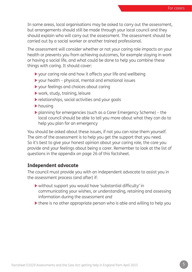In some areas, local organisations may be asked to carry out the assessment, but arrangements should still be made through your local council and they should explain who will carry out the assessment. The assessment should be carried out by a social worker or another trained professional.

The assessment will consider whether or not your caring role impacts on your health or prevents you from achieving outcomes, for example staying in work or having a social life, and what could be done to help you combine these things with caring. It should cover:

- > your caring role and how it affects your life and wellbeing
- > your health physical, mental and emotional issues
- > your feelings and choices about caring
- > work, study, training, leisure
- > relationships, social activities and your goals
- > housing
- > planning for emergencies (such as a Carer Emergency Scheme) the local council should be able to tell you more about what they can do to help you plan for an emergency

You should be asked about these issues, if not you can raise them yourself. The aim of the assessment is to help you get the support that you need. So it's best to give your honest opinion about your caring role, the care you provide and your feelings about being a carer. Remember to look at the list of questions in the appendix on page 26 of this factsheet.

### **Independent advocate**

The council must provide you with an independent advocate to assist you in the assessment process (and after) if:

- > without support you would have 'substantial difficulty' in communicating your wishes, or understanding, retaining and assessing information during the assessment *and*
- > there is no other appropriate person who is able and willing to help you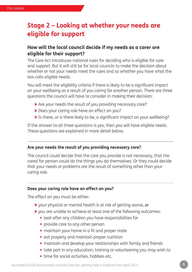### **Stage 2 – Looking at whether your needs are eligible for support**

### **How will the local council decide if my needs as a carer are eligible for their support?**

The Care Act introduces national rules for deciding who is eligible for care and support. But it will still be for local councils to make the decision about whether or not your needs meet the rules and so whether you have what the law calls eligible needs.

You will meet the eligibility criteria if there is likely to be a significant impact on your wellbeing as a result of you caring for another person. There are three questions the council will have to consider in making their decision:

- > Are your needs the result of you providing necessary care?
- > Does your caring role have an effect on you?
- > Is there, or is there likely to be, a significant impact on your wellbeing?

If the answer to all three questions is yes, then you will have eligible needs. These questions are explained in more detail below.

#### **Are your needs the result of you providing necessary care?**

The council could decide that the care you provide is not necessary, that the cared for person could do the things you do themselves. Or they could decide that your needs or problems are the result of something other than your caring role.

#### **Does your caring role have an effect on you?**

The effect on you must be either:

- > your physical or mental health is at risk of getting worse, *or*
- > you are unable to achieve at least one of the following outcomes:
	- **•** look after any children you have responsibilities for
	- **•** provide care to any other person
	- **•** maintain your home in a fit and proper state
	- **•** eat properly and maintain proper nutrition
	- **•** maintain and develop your relationships with family and friends
	- **•** take part in any education, training or volunteering you may wish to
	- **•** time for social activities, hobbies etc.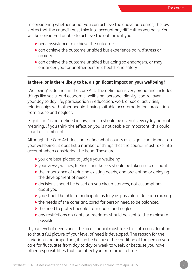In considering whether or not you can achieve the above outcomes, the law states that the council must take into account any difficulties you have. You will be considered unable to achieve the outcome if you:

- > need assistance to achieve the outcome
- > can achieve the outcome unaided but experience pain, distress or anxiety
- > can achieve the outcome unaided but doing so endangers, or may endanger your or another person's health and safety

### **Is there, or is there likely to be, a significant impact on your wellbeing?**

'Wellbeing' is defined in the Care Act. The definition is very broad and includes things like social and economic wellbeing, personal dignity, control over your day to day life, participation in education, work or social activities, relationships with other people, having suitable accommodation, protection from abuse and neglect.

'Significant' is not defined in law, and so should be given its everyday normal meaning. If you think the effect on you is noticeable or important, this could count as significant.

Although the Care Act does not define what counts as a significant impact on your wellbeing , it does list a number of things that the council must take into account when considering the issue. These are:

- > you are best-placed to judge your wellbeing
- > your views, wishes, feelings and beliefs should be taken in to account
- > the importance of reducing existing needs, and preventing or delaying the development of needs
- > decisions should be based on you circumstances, not assumptions about you
- > you should be able to participate as fully as possible in decision making
- > the needs of the carer and cared for person need to be balanced
- > the need to protect people from abuse and neglect
- > any restrictions on rights or freedoms should be kept to the minimum possible

If your level of need varies the local council must take this into consideration so that a full picture of your level of need is developed. The reason for the variation is not important, it can be because the condition of the person you care for fluctuates from day to day or week to week, or because you have other responsibilities that can affect you from time to time.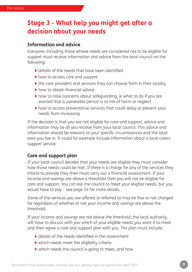### **Stage 3 - What help you might get after a decision about your needs**

### **Information and advice**

Everyone, including those whose needs are considered not to be eligible for support must receive information and advice from the local council on the following:

- > details of the needs that have been identified
- > how to access care and support
- > the care providers and services they can choose from in their locality
- > how to obtain financial advice
- > how to raise concerns about safeguarding, ie what to do if you are worried that a vulnerable person is at risk of harm or neglect
- > how to access preventative services that could delay or prevent your needs from increasing

If the decision is that you are not eligible for care and support, advice and information may be all you receive from your local council. This advice and information should be relevant to your specific circumstances and the local area you live in. It could for example include information about a local carers support service.

### **Care and support plan**

If your local council decides that your needs are eligible they must consider how those needs could be met. If there is a charge for any of the services they intend to provide they then must carry out a financial assessment. If your income and savings are above a threshold then you will not be eligible for care and support. You can ask the council to meet your eligible needs, but you would have to pay – see page 24 for more details.

Some of the services you are offered or referred to may be free or not charged for regardless of whether or not your income and savings are above the threshold.

If your income and savings are not above the threshold, the local authority will have to discuss with you which of your eligible needs you want it to meet and then agree a care and support plan with you. The plan must include:

- > details of the needs identified in the assessment
- > which needs meet the eligibility criteria
- > which needs the council is going to meet, and how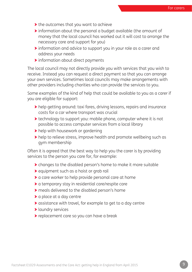- > the outcomes that you want to achieve
- > information about the personal a budget available (the amount of money that the local council has worked out it will cost to arrange the necessary care and support for you)
- > information and advice to support you in your role as a carer and address your needs
- > information about direct payments

The local council may not directly provide you with services that you wish to receive. Instead you can request a direct payment so that you can arrange your own services. Sometimes local councils may make arrangements with other providers including charities who can provide the services to you.

Some examples of the kind of help that could be available to you as a carer if you are eligible for support:

- > help getting around: taxi fares, driving lessons, repairs and insurance costs for a car where transport was crucial
- > technology to support you: mobile phone, computer where it is not possible to access computer services from a local library
- > help with housework or gardening
- > help to relieve stress, improve health and promote wellbeing such as gym membership

Often it is agreed that the best way to help you the carer is by providing services to the person you care for, for example:

- > changes to the disabled person's home to make it more suitable
- > equipment such as a hoist or grab rail
- > a care worker to help provide personal care at home
- > a temporary stay in residential care/respite care
- > meals delivered to the disabled person's home
- > a place at a day centre
- > assistance with travel, for example to get to a day centre
- > laundry services
- > replacement care so you can have a break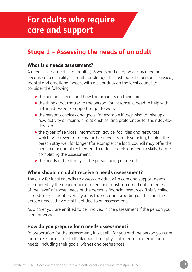# **For adults who require care and support**

# **Stage 1 – Assessing the needs of an adult**

### **What is a needs assessment?**

A needs assessment is for adults (18 years and over) who may need help because of a disability, ill health or old age. It must look at a person's physical, mental and emotional needs, with a clear duty on the local council to consider the following:

- > the person's needs and how that impacts on their care
- > the things that matter to the person, for instance, a need to help with getting dressed or support to get to work
- > the person's choices and goals, for example if they wish to take up a new activity or maintain relationships, and preferences for their day-today care
- > the types of services, information, advice, facilities and resources which will prevent or delay further needs from developing, helping the person stay well for longer (for example, the local council may offer the person a period of reablement to reduce needs and regain skills, before completing the assessment)
- > the needs of the family of the person being assessed

### **When should an adult receive a needs assessment?**

The duty for local councils to assess an adult with care and support needs is triggered by the appearance of need, and must be carried out regardless of the 'level' of those needs or the person's financial resources. This is called a needs assessment. Even if you as the carer are providing all the care the person needs, they are still entitled to an assessment.

As a carer you are entitled to be involved in the assessment if the person you care for wishes.

### **How do you prepare for a needs assessment?**

In preparation for the assessment, it is useful for you and the person you care for to take some time to think about their physical, mental and emotional needs, including their goals, wishes and preferences.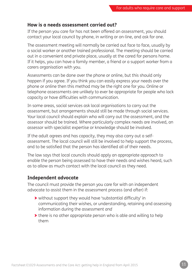### **How is a needs assessment carried out?**

If the person you care for has not been offered an assessment, you should contact your local council by phone, in writing or on-line, and ask for one.

The assessment meeting will normally be carried out face to face, usually by a social worker or another trained professional. The meeting should be carried out in a convenient and private place, usually at the cared for persons home. If it helps, you can have a family member, a friend or a support worker from a carers organisation with you.

Assessments can be done over the phone or online, but this should only happen if you agree. If you think you can easily express your needs over the phone or online then this method may be the right one for you. Online or telephone assessments are unlikely to ever be appropriate for people who lack capacity or have difficulties with communication.

In some areas, social services ask local organisations to carry out the assessment, but arrangements should still be made through social services. Your local council should explain who will carry out the assessment, and the assessor should be trained. Where particularly complex needs are involved, an assessor with specialist expertise or knowledge should be involved.

If the adult agrees and has capacity, they may also carry out a selfassessment. The local council will still be involved to help support the process, and to be satisfied that the person has identified all of their needs.

The law says that local councils should apply an appropriate approach to enable the person being assessed to have their needs and wishes heard, such as to allow as much contact with the local council as they need.

### **Independent advocate**

The council must provide the person you care for with an independent advocate to assist them in the assessment process (and after) if:

- > without support they would have 'substantial difficulty' in communicating their wishes, or understanding, retaining and assessing information during the assessment *and*
- > there is no other appropriate person who is able and willing to help them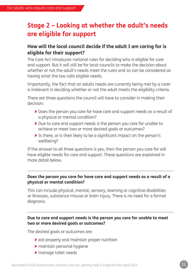## **Stage 2 – Looking at whether the adult's needs are eligible for support**

### **How will the local council decide if the adult I am caring for is eligible for their support?**

The Care Act introduces national rules for deciding who is eligible for care and support. But it will still be for local councils to make the decision about whether or not the adult's needs meet the rules and so can be considered as having what the law calls eligible needs.

Importantly, the fact that an adults needs are currently being met by a carer is irrelevant in deciding whether or not the adult meets the eligibility criteria.

There are three questions the council will have to consider in making their decision:

- > Does the person you care for have care and support needs as a result of a physical or mental condition?
- > Due to care and support needs is the person you care for unable to achieve or meet two or more desired goals or outcomes?
- > Is there, or is their likely to be a significant impact on the person's wellbeing?

If the answer to all three questions is yes, then the person you care for will have eligible needs for care and support. These questions are explained in more detail below.

### **Does the person you care for have care and support needs as a result of a physical or mental condition?**

This can include physical, mental, sensory, learning or cognitive disabilities or illnesses, substance misuse or brain injury. There is no need for a formal diagnosis.

### **Due to care and support needs is the person you care for unable to meet two or more desired goals or outcomes?**

The desired goals or outcomes are:

- > eat properly and maintain proper nutrition
- > maintain personal hygiene
- > manage toilet needs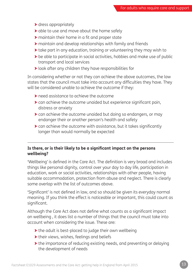- > dress appropriately
- > able to use and move about the home safely
- > maintain their home in a fit and proper state
- > maintain and develop relationships with family and friends
- > take part in any education, training or volunteering they may wish to
- > be able to participate in social activities, hobbies and make use of public transport and local services
- > look after any children they have responsibilities for

In considering whether or not they can achieve the above outcomes, the law states that the council must take into account any difficulties they have. They will be considered unable to achieve the outcome if they:

- > need assistance to achieve the outcome
- > can achieve the outcome unaided but experience significant pain, distress or anxiety
- > can achieve the outcome unaided but doing so endangers, or may endanger their or another person's health and safety
- > can achieve the outcome with assistance, but it takes significantly longer than would normally be expected

### **Is there, or is their likely to be a significant impact on the persons wellbeing?**

'Wellbeing' is defined in the Care Act. The definition is very broad and includes things like personal dignity, control over your day to day life, participation in education, work or social activities, relationships with other people, having suitable accommodation, protection from abuse and neglect. There is clearly some overlap with the list of outcomes above.

'Significant' is not defined in law, and so should be given its everyday normal meaning. If you think the effect is noticeable or important, this could count as significant.

Although the Care Act does not define what counts as a significant impact on wellbeing , it does list a number of things that the council must take into account when considering the issue. These are:

- > the adult is best-placed to judge their own wellbeing
- > their views, wishes, feelings and beliefs
- > the importance of reducing existing needs, and preventing or delaying the development of needs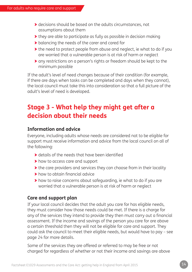- > decisions should be based on the adults circumstances, not assumptions about them
- > they are able to participate as fully as possible in decision making
- > balancing the needs of the carer and cared for
- > the need to protect people from abuse and neglect, ie what to do if you are worried that a vulnerable person is at risk of harm or neglect
- > any restrictions on a person's rights or freedom should be kept to the minimum possible

If the adult's level of need changes because of their condition (for example, if there are days when tasks can be completed and days when they cannot), the local council must take this into consideration so that a full picture of the adult's level of need is developed.

## **Stage 3 - What help they might get after a decision about their needs**

### **Information and advice**

Everyone, including adults whose needs are considered not to be eligible for support must receive information and advice from the local council on all of the following:

- > details of the needs that have been identified
- > how to access care and support
- > the care providers and services they can choose from in their locality
- > how to obtain financial advice
- > how to raise concerns about safeguarding, ie what to do if you are worried that a vulnerable person is at risk of harm or neglect

### **Care and support plan**

If your local council decides that the adult you care for has eligible needs, they must consider how those needs could be met. If there is a charge for any of the services they intend to provide they then must carry out a financial assessment. If the income and savings of the person you care for are above a certain threshold then they will not be eligible for care and support. They could ask the council to meet their eligible needs, but would have to pay – see page 24 for more details.

Some of the services they are offered or referred to may be free or not charged for regardless of whether or not their income and savings are above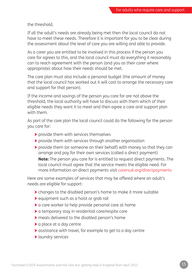the threshold.

If all the adult's needs are already being met then the local council do not have to meet these needs. Therefore it is important for you to be clear during the assessment about the level of care you are willing and able to provide.

As a carer you are entitled to be involved in this process if the person you care for agrees to this, and the local council must do everything it reasonably can to reach agreement with the person (and you as their carer where appropriate) about how their needs should be met.

The care plan must also include a personal budget (the amount of money that the local council has worked out it will cost to arrange the necessary care and support for that person).

If the income and savings of the person you care for are not above the threshold, the local authority will have to discuss with them which of their eligible needs they want it to meet and then agree a care and support plan with them.

As part of the care plan the local council could do the following for the person you care for:

- > provide them with services themselves
- > provide them with services through another organisation
- > provide them (or someone on their behalf) with money so that they can arrange and pay for their own services (called a direct payment)

**Note:** The person you care for is entitled to request direct payments. The local council must agree that the service meets the eligible need. For more information on direct payments visit carersuk.org/directpayments

Here are some examples of services that may be offered where an adult's needs are eligible for support:

- > changes to the disabled person's home to make it more suitable
- > equipment such as a hoist or grab rail
- > a care worker to help provide personal care at home
- > a temporary stay in residential care/respite care
- > meals delivered to the disabled person's home
- > a place at a day centre
- > assistance with travel, for example to get to a day centre
- > laundry services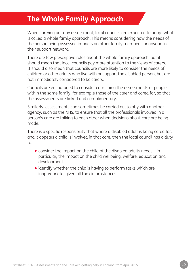# **The Whole Family Approach**

When carrying out any assessment, local councils are expected to adopt what is called a whole family approach. This means considering how the needs of the person being assessed impacts on other family members, or anyone in their support network.

There are few prescriptive rules about the whole family approach, but it should mean that local councils pay more attention to the views of carers. It should also mean that councils are more likely to consider the needs of children or other adults who live with or support the disabled person, but are not immediately considered to be carers.

Councils are encouraged to consider combining the assessments of people within the same family, for example those of the carer and cared for, so that the assessments are linked and complimentary.

Similarly, assessments can sometimes be carried out jointly with another agency, such as the NHS, to ensure that all the professionals involved in a person's care are talking to each other when decisions about care are being made.

There is a specific responsibility that where a disabled adult is being cared for, and it appears a child is involved in that care, then the local council has a duty to:

- > consider the impact on the child of the disabled adults needs in particular, the impact on the child wellbeing, welfare, education and development
- > identify whether the child is having to perform tasks which are inappropriate, given all the circumstances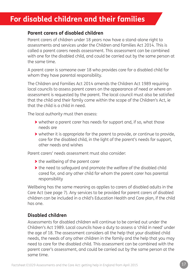# **For disabled children and their families**

### **Parent carers of disabled children**

Parent carers of children under 18 years now have a stand-alone right to assessments and services under the Children and Families Act 2014. This is called a parent carers needs assessment. This assessment can be combined with one for the disabled child, and could be carried out by the same person at the same time.

A parent carer is someone over 18 who provides care for a disabled child for whom they have parental responsibility.

The Children and Families Act 2014 amends the Children Act 1989 requiring local councils to assess parent carers on the appearance of need or where an assessment is requested by the parent. The local council must also be satisfied that the child and their family come within the scope of the Children's Act, ie that the child is a child in need.

The local authority must then assess:

- > whether a parent carer has needs for support and, if so, what those needs are
- > whether it is appropriate for the parent to provide, or continue to provide, care for the disabled child, in the light of the parent's needs for support, other needs and wishes

Parent carers' needs assessment must also consider:

- > the wellbeing of the parent carer
- > the need to safeguard and promote the welfare of the disabled child cared for, and any other child for whom the parent carer has parental responsibility

Wellbeing has the same meaning as applies to carers of disabled adults in the Care Act (see page 7). Any services to be provided for parent carers of disabled children can be included in a child's Education Health and Care plan, if the child has one.

### **Disabled children**

Assessments for disabled children will continue to be carried out under the Children's Act 1989. Local councils have a duty to assess a 'child in need' under the age of 18. The assessment considers all the help that your disabled child needs, the needs of any other children in the family and the help that you may need to care for the disabled child. This assessment can be combined with the parent carer's assessment, and could be carried out by the same person at the same time.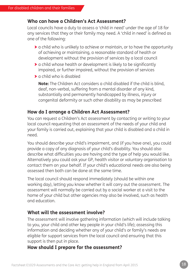### **Who can have a Children's Act Assessment?**

Local councils have a duty to assess a 'child in need' under the age of 18 for any services that they or their family may need. A 'child in need' is defined as one of the following:

- > a child who is unlikely to achieve or maintain, or to have the opportunity of achieving or maintaining, a reasonable standard of health or development without the provision of services by a local council
- > a child whose health or development is likely to be significantly impaired, or further impaired, without the provision of services
- > a child who is disabled

**Note:** The Children Act considers a child disabled if the child is blind, deaf, non-verbal, suffering from a mental disorder of any kind, substantially and permanently handicapped by illness, injury or congenital deformity or such other disability as may be prescribed

### **How do I arrange a Children Act Assessment?**

You can request a Children's Act assessment by contacting or writing to your local council requesting that an assessment of the needs of your child and your family is carried out, explaining that your child is disabled and a child in need.

You should describe your child's impairment, and (if you have one), you could provide a copy of any diagnosis of your child's disability. You should also describe what difficulties you are having and the type of help you would like. Alternatively you could ask your GP, health visitor or voluntary organisation to contact them on your behalf. If your child's educational needs are also being assessed then both can be done at the same time.

The local council should respond immediately (should be within one working day), letting you know whether it will carry out the assessment. The assessment will normally be carried out by a social worker at a visit to the home of your child but other agencies may also be involved, such as health and education.

### **What will the assessment involve?**

The assessment will involve gathering information (which will include talking to you, your child and other key people in your child's life); assessing this information and deciding whether any of your child's or family's needs are eligible for support services from the local council and ensuring that this support is then put in place.

### **How should I prepare for the assessment?**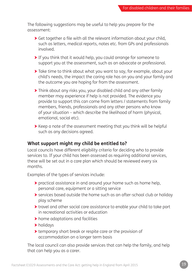The following suggestions may be useful to help you prepare for the assessment:

- > Get together a file with all the relevant information about your child, such as letters, medical reports, notes etc. from GPs and professionals involved.
- > If you think that it would help, you could arrange for someone to support you at the assessment, such as an advocate or professional.
- > Take time to think about what you want to say, for example, about your child's needs, the impact the caring role has on you and your family and the outcome you are hoping for from the assessment.
- > Think about any risks you, your disabled child and any other family member may experience if help is not provided. The evidence you provide to support this can come from letters / statements from family members, friends, professionals and any other persons who know of your situation – which describe the likelihood of harm (physical, emotional, social etc).
- > Keep a note of the assessment meeting that you think will be helpful such as any decisions agreed.

### **What support might my child be entitled to?**

Local councils have different eligibility criteria for deciding who to provide services to. If your child has been assessed as requiring additional services, these will be set out in a care plan which should be reviewed every six months.

Examples of the types of services include:

- > practical assistance in and around your home such as home help, personal care, equipment or a sitting service
- > services based outside the home such as an after-school club or holiday play scheme
- > travel and other social care assistance to enable your child to take part in recreational activities or education
- > home adaptations and facilities
- > holidays
- > temporary short break or respite care or the provision of accommodation on a longer term basis

The local council can also provide services that can help the family, and help that can help you as a carer.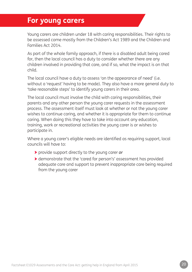### **For young carers**

Young carers are children under 18 with caring responsibilities. Their rights to be assessed come mostly from the Children's Act 1989 and the Children and Families Act 2014.

As part of the whole family approach, if there is a disabled adult being cared for, then the local council has a duty to consider whether there are any children involved in providing that care, and if so, what the impact is on that child.

The local council have a duty to assess 'on the appearance of need' (i.e. without a 'request' having to be made). They also have a more general duty to 'take reasonable steps' to identify young carers in their area.

The local council must involve the child with caring responsibilities, their parents and any other person the young carer requests in the assessment process. The assessment itself must look at whether or not the young carer wishes to continue caring, and whether it is appropriate for them to continue caring. When doing this they have to take into account any education, training, work or recreational activities the young carer is or wishes to participate in.

Where a young carer's eligible needs are identified as requiring support, local councils will have to:

- > provide support directly to the young carer *or*
- > demonstrate that the 'cared for person's' assessment has provided adequate care and support to prevent inappropriate care being required from the young carer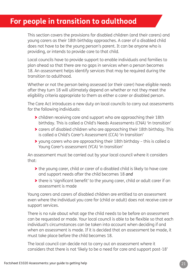# **For people in transition to adulthood**

This section covers the provisions for disabled children (and their carers) and young carers as their 18th birthday approaches. A carer of a disabled child does not have to be the young person's parent. It can be anyone who is providing, or intends to provide care to that child.

Local councils have to provide support to enable individuals and families to plan ahead so that there are no gaps in services when a person becomes 18. An assessment helps identify services that may be required during the transition to adulthood.

Whether or not the person being assessed (or their carer) have eligible needs after they turn 18 will ultimately depend on whether or not they meet the eligibility criteria appropriate to them as either a carer or disabled person.

The Care Act introduces a new duty on local councils to carry out assessments for the following individuals:

- > children receiving care and support who are approaching their 18th birthday. This is called a Child's Needs Assessments (CNA) 'in transition'
- > carers of disabled children who are approaching their 18th birthday. This is called a Child's Carer's Assessment (CCA) 'in transition'
- > young carers who are approaching their 18th birthday this is called a Young Carer's assessment (YCA) 'in transition'

An assessment must be carried out by your local council where it considers that:

- > the young carer, child or carer of a disabled child is likely to have care and support needs after the child becomes 18 *and*
- > there is 'significant benefit' to the young carer, child or adult carer if an assessment is made

Young carers and carers of disabled children are entitled to an assessment even where the individual you care for (child or adult) does not receive care or support services.

There is no rule about what age the child needs to be before an assessment can be requested or made. Your local council is able to be flexible so that each individual's circumstances can be taken into account when deciding if and when an assessment is made. If it is decided that an assessment be made, it must take place before the child becomes 18.

The local council can decide not to carry out an assessment where it considers that there is not 'likely to be a need for care and support post-18'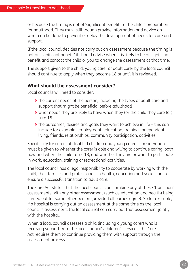or because the timing is not of 'significant benefit' to the child's preparation for adulthood. They must still though provide information and advice on what can be done to prevent or delay the development of needs for care and support.

If the local council decides not carry out an assessment because the timing is not of 'significant benefit' it should advise when it is likely to be of significant benefit and contact the child or you to arrange the assessment at that time.

The support given to the child, young carer or adult carer by the local council should continue to apply when they become 18 or until it is reviewed.

### **What should the assessment consider?**

Local councils will need to consider:

- > the current needs of the person, including the types of adult care and support that might be beneficial before adulthood
- > what needs they are likely to have when they (or the child they care for) turn 18
- > the outcomes, desires and goals they want to achieve in life this can include for example, employment, education, training, independent living, friends, relationships, community participation, activities

Specifically for carers of disabled children and young carers, consideration must be given to whether the carer is able and willing to continue caring, both now and when the child turns 18, and whether they are or want to participate in work, education, training or recreational activities.

The local council has a legal responsibility to cooperate by working with the child, their families and professionals in health, education and social care to ensure a successful transition to adult care.

The Care Act states that the local council can combine any of these 'transition' assessments with any other assessment (such as education and health) being carried out for some other person (provided all parties agree). So for example, if a hospital is carrying out an assessment at the same time as the local council's assessment, the local council can carry out that assessment jointly with the hospital.

When a local council assesses a child (including a young carer) who is receiving support from the local council's children's services, the Care Act requires them to continue providing them with support through the assessment process.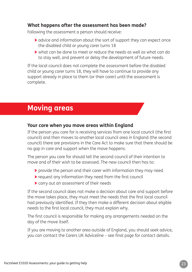### **What happens after the assessment has been made?**

Following the assessment a person should receive:

- > advice and information about the sort of support they can expect once the disabled child or young carer turns 18
- > what can be done to meet or reduce the needs as well as what can do to stay well, and prevent or delay the development of future needs.

If the local council does not complete the assessment before the disabled child or young carer turns 18, they will have to continue to provide any support already in place to them (or their carer) until the assessment is complete.

# **Moving areas**

### **Your care when you move areas within England**

If the person you care for is receiving services from one local council (the first council) and then moves to another local council area in England (the second council) there are provisions in the Care Act to make sure that there should be no gap in care and support when the move happens.

The person you care for should tell the second council of their intention to move and of their wish to be assessed. The new council then has to:

- > provide the person and their carer with information they may need
- > request any information they need from the first council
- > carry out an assessment of their needs

If the second council does not make a decision about care and support before the move takes place, they must meet the needs that the first local council had previously identified. If they then make a different decision about eligible needs to the first local council, they must explain why.

The first council is responsible for making any arrangements needed on the day of the move itself.

If you are moving to another area outside of England, you should seek advice, you can contact the Carers UK Adviceline – see final page for contact details.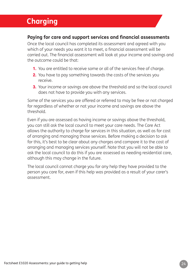# **Charging**

### **Paying for care and support services and financial assessments**

Once the local council has completed its assessment and agreed with you which of your needs you want it to meet, a financial assessment will be carried out. The financial assessment will look at your income and savings and the outcome could be that:

- **1.** You are entitled to receive some or all of the services free of charge.
- **2.** You have to pay something towards the costs of the services you receive.
- **3.** Your income or savings are above the threshold and so the local council does not have to provide you with any services.

Some of the services you are offered or referred to may be free or not charged for regardless of whether or not your income and savings are above the threshold.

Even if you are assessed as having income or savings above the threshold, you can still ask the local council to meet your care needs. The Care Act allows the authority to charge for services in this situation, as well as for cost of arranging and managing those services. Before making a decision to ask for this, it's best to be clear about any charges and compare it to the cost of arranging and managing services yourself. Note that you will not be able to ask the local council to do this if you are assessed as needing residential care, although this may change in the future.

The local council cannot charge you for any help they have provided to the person you care for, even if this help was provided as a result of your carer's assessment.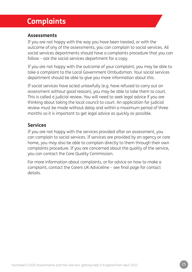# **Complaints**

### **Assessments**

If you are not happy with the way you have been treated, or with the outcome of any of the assessments, you can complain to social services. All social services departments should have a complaints procedure that you can follow – ask the social services department for a copy.

If you are not happy with the outcome of your complaint, you may be able to take a complaint to the Local Government Ombudsman. Your social services department should be able to give you more information about this.

If social services have acted unlawfully (e.g. have refused to carry out an assessment without good reason), you may be able to take them to court. This is called a judicial review. You will need to seek legal advice if you are thinking about taking the local council to court. An application for judicial review must be made without delay and within a maximum period of three months so it is important to get legal advice as quickly as possible.

### **Services**

If you are not happy with the services provided after an assessment, you can complain to social services. If services are provided by an agency or care home, you may also be able to complain directly to them through their own complaints procedure. If you are concerned about the quality of the service, you can contact the Care Quality Commission.

For more information about complaints, or for advice on how to make a complaint, contact the Carers UK Adviceline – see final page for contact details.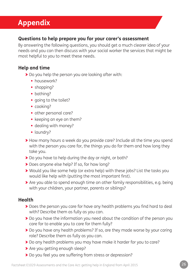# **Appendix**

### **Questions to help prepare you for your carer's assessment**

By answering the following questions, you should get a much clearer idea of your needs and you can then discuss with your social worker the services that might be most helpful to you to meet these needs.

### **Help and time**

- > Do you help the person you are looking after with:
	- **•** housework?
	- **•** shopping?
	- **•** bathing?
	- **•** going to the toilet?
	- **•** cooking?
	- **•** other personal care?
	- **•** keeping an eye on them?
	- **•** dealing with money?
	- **•** laundry?
- > How many hours a week do you provide care? Include all the time you spend with the person you care for, the things you do for them and how long they take you.
- > Do you have to help during the day or night, or both?
- > Does anyone else help? If so, for how long?
- > Would you like some help (or extra help) with these jobs? List the tasks you would like help with (putting the most important first).
- > Are you able to spend enough time on other family responsibilities, e.g. being with your children, your partner, parents or siblings?

### **Health**

- > Does the person you care for have any health problems you find hard to deal with? Describe them as fully as you can.
- > Do you have the information you need about the condition of the person you care for to enable you to care for them fully?
- > Do you have any health problems? If so, are they made worse by your caring role? Describe them as fully as you can.
- > Do any health problems you may have make it harder for you to care?
- > Are you getting enough sleep?
- > Do you feel you are suffering from stress or depression?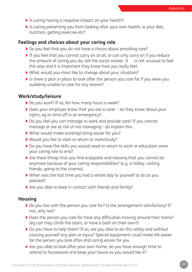- **>** Is caring having a negative impact on your health?
- > Is caring preventing you from looking after your own health, ie your diet, nutrition, getting exercise etc?

### **Feelings and choices about your caring role**

- > Do you feel that you do not have a choice about providing care?
- > If you feel that you cannot carry on at all, or can only carry on if you reduce the amount of caring you do, tell the social worker. It is not unusual to feel this way and it is important they know how you really feel.
- > What would you most like to change about your situation?
- > Is there a plan in place to look after the person you care for if you were you suddenly unable to care for any reason?

### **Work/study/leisure**

- > Do you work? If so, for how many hours a week?
- > Does your employer know that you are a carer do they know about your rights, eg to time off in an emergency?
- > Do you feel you can manage to work and provide care? If you cannot manage or are at risk of not managing - do explain this.
- > What would make working/caring easier for you?
- > Would you like to start or return to work/study?
- > Do you have the skills you would need to return to work or education were your caring role to end?
- > Are there things that you find enjoyable and relaxing that you cannot do anymore because of your caring responsibilities? (e.g. a hobby, visiting friends, going to the cinema).
- > When was the last time you had a whole day to yourself to do as you pleased?
- > Are you able to keep in contact with friends and family?

### **Housing**

- > Do you live with the person you care for? Is the arrangement satisfactory? If not, why not?
- > Does the person you care for have any difficulties moving around their home? (eg can they climb the stairs, or have a bath on their own?)
- > Do you have to help them? If so, are you able to do this safely and without causing yourself any pain or injury? Special equipment could make life easier for the person you look after and caring easier for you
- > Are you able to look after your own home, do you have enough time to attend to housework and keep your house as you would like it?